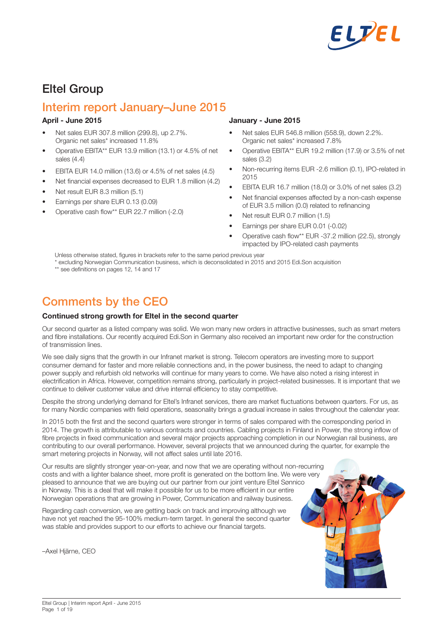

# Eltel Group

# Interim report January–June 2015

## April - June 2015

- Net sales EUR 307.8 million (299.8), up 2.7%. Organic net sales\* increased 11.8%
- Operative EBITA\*\* EUR 13.9 million (13.1) or 4.5% of net sales (4.4)
- EBITA EUR 14.0 million (13.6) or 4.5% of net sales (4.5)
- Net financial expenses decreased to EUR 1.8 million (4.2)
- Net result EUR 8.3 million (5.1)
- Earnings per share EUR 0.13 (0.09)
- Operative cash flow\*\* EUR 22.7 million (-2.0)

## January - June 2015

- Net sales EUR 546.8 million (558.9), down 2.2%. Organic net sales\* increased 7.8%
- Operative EBITA\*\* EUR 19.2 million (17.9) or 3.5% of net sales (3.2)
- Non-recurring items EUR -2.6 million (0.1), IPO-related in 2015
- EBITA EUR 16.7 million (18.0) or 3.0% of net sales (3.2)
- Net financial expenses affected by a non-cash expense of EUR 3.5 million (0.0) related to refinancing
- Net result EUR 0.7 million (1.5)
- Earnings per share EUR 0.01 (-0.02)
- Operative cash flow\*\* EUR -37.2 million (22.5), strongly impacted by IPO-related cash payments

Unless otherwise stated, figures in brackets refer to the same period previous year \* excluding Norwegian Communication business, which is deconsolidated in 2015 and 2015 Edi.Son acquisition

\*\* see definitions on pages 12, 14 and 17

# Comments by the CEO

## Continued strong growth for Eltel in the second quarter

Our second quarter as a listed company was solid. We won many new orders in attractive businesses, such as smart meters and fibre installations. Our recently acquired Edi.Son in Germany also received an important new order for the construction of transmission lines.

We see daily signs that the growth in our Infranet market is strong. Telecom operators are investing more to support consumer demand for faster and more reliable connections and, in the power business, the need to adapt to changing power supply and refurbish old networks will continue for many years to come. We have also noted a rising interest in electrification in Africa. However, competition remains strong, particularly in project-related businesses. It is important that we continue to deliver customer value and drive internal efficiency to stay competitive.

Despite the strong underlying demand for Eltel's Infranet services, there are market fluctuations between quarters. For us, as for many Nordic companies with field operations, seasonality brings a gradual increase in sales throughout the calendar year.

In 2015 both the first and the second quarters were stronger in terms of sales compared with the corresponding period in 2014. The growth is attributable to various contracts and countries. Cabling projects in Finland in Power, the strong inflow of fibre projects in fixed communication and several major projects approaching completion in our Norwegian rail business, are contributing to our overall performance. However, several projects that we announced during the quarter, for example the smart metering projects in Norway, will not affect sales until late 2016.

Our results are slightly stronger year-on-year, and now that we are operating without non-recurring costs and with a lighter balance sheet, more profit is generated on the bottom line. We were very pleased to announce that we are buying out our partner from our joint venture Eltel Sønnico in Norway. This is a deal that will make it possible for us to be more efficient in our entire Norwegian operations that are growing in Power, Communication and railway business.

Regarding cash conversion, we are getting back on track and improving although we have not yet reached the 95-100% medium-term target. In general the second quarter was stable and provides support to our efforts to achieve our financial targets.

–Axel Hjärne, CEO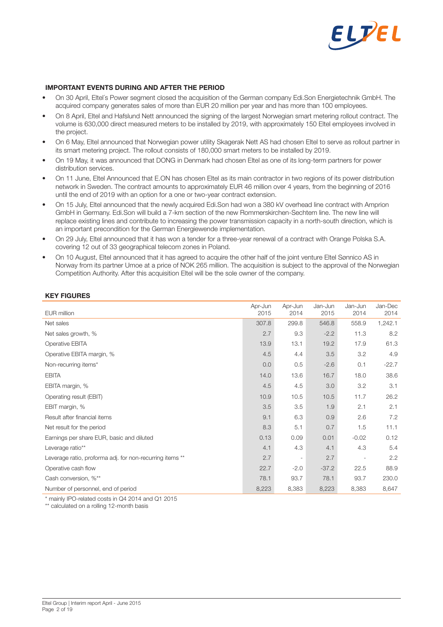

## IMPORTANT EVENTS DURING AND AFTER THE PERIOD

- On 30 April, Eltel´s Power segment closed the acquisition of the German company Edi.Son Energietechnik GmbH. The acquired company generates sales of more than EUR 20 million per year and has more than 100 employees.
- On 8 April, Eltel and Hafslund Nett announced the signing of the largest Norwegian smart metering rollout contract. The volume is 630,000 direct measured meters to be installed by 2019, with approximately 150 Eltel employees involved in the project.
- On 6 May, Eltel announced that Norwegian power utility Skagerak Nett AS had chosen Eltel to serve as rollout partner in its smart metering project. The rollout consists of 180,000 smart meters to be installed by 2019.
- On 19 May, it was announced that DONG in Denmark had chosen Eltel as one of its long-term partners for power distribution services.
- On 11 June, Eltel Announced that E.ON has chosen Eltel as its main contractor in two regions of its power distribution network in Sweden. The contract amounts to approximately EUR 46 million over 4 years, from the beginning of 2016 until the end of 2019 with an option for a one or two-year contract extension.
- On 15 July, Eltel announced that the newly acquired Edi.Son had won a 380 kV overhead line contract with Amprion GmbH in Germany. Edi.Son will build a 7-km section of the new Rommerskirchen-Sechtem line. The new line will replace existing lines and contribute to increasing the power transmission capacity in a north-south direction, which is an important precondition for the German Energiewende implementation.
- On 29 July, Eltel announced that it has won a tender for a three-year renewal of a contract with Orange Polska S.A. covering 12 out of 33 geographical telecom zones in Poland.
- On 10 August, Eltel announced that it has agreed to acquire the other half of the joint venture Eltel Sønnico AS in Norway from its partner Umoe at a price of NOK 265 million. The acquisition is subject to the approval of the Norwegian Competition Authority. After this acquisition Eltel will be the sole owner of the company.

#### KEY FIGURES

| EUR million                                              | Apr-Jun<br>2015 | Apr-Jun<br>2014          | Jan-Jun<br>2015 | Jan-Jun<br>2014          | Jan-Dec<br>2014  |
|----------------------------------------------------------|-----------------|--------------------------|-----------------|--------------------------|------------------|
| Net sales                                                | 307.8           | 299.8                    | 546.8           | 558.9                    | 1,242.1          |
| Net sales growth, %                                      | 2.7             | 9.3                      | $-2.2$          | 11.3                     | 8.2              |
| Operative EBITA                                          | 13.9            | 13.1                     | 19.2            | 17.9                     | 61.3             |
| Operative EBITA margin, %                                | 4.5             | 4.4                      | 3.5             | 3.2                      | 4.9              |
| Non-recurring items*                                     | 0.0             | 0.5                      | $-2.6$          | 0.1                      | $-22.7$          |
| <b>EBITA</b>                                             | 14.0            | 13.6                     | 16.7            | 18.0                     | 38.6             |
| EBITA margin, %                                          | 4.5             | 4.5                      | 3.0             | 3.2                      | 3.1              |
| Operating result (EBIT)                                  | 10.9            | 10.5                     | 10.5            | 11.7                     | 26.2             |
| EBIT margin, %                                           | 3.5             | 3.5                      | 1.9             | 2.1                      | 2.1              |
| Result after financial items                             | 9.1             | 6.3                      | 0.9             | 2.6                      | 7.2              |
| Net result for the period                                | 8.3             | 5.1                      | 0.7             | 1.5                      | 11.1             |
| Earnings per share EUR, basic and diluted                | 0.13            | 0.09                     | 0.01            | $-0.02$                  | 0.12             |
| Leverage ratio**                                         | 4.1             | 4.3                      | 4.1             | 4.3                      | 5.4              |
| Leverage ratio, proforma adj. for non-recurring items ** | 2.7             | $\overline{\phantom{a}}$ | 2.7             | $\overline{\phantom{a}}$ | $2.2\phantom{0}$ |
| Operative cash flow                                      | 22.7            | $-2.0$                   | $-37.2$         | 22.5                     | 88.9             |
| Cash conversion, %**                                     | 78.1            | 93.7                     | 78.1            | 93.7                     | 230.0            |
| Number of personnel, end of period                       | 8,223           | 8,383                    | 8,223           | 8,383                    | 8,647            |

\* mainly IPO-related costs in Q4 2014 and Q1 2015

\*\* calculated on a rolling 12-month basis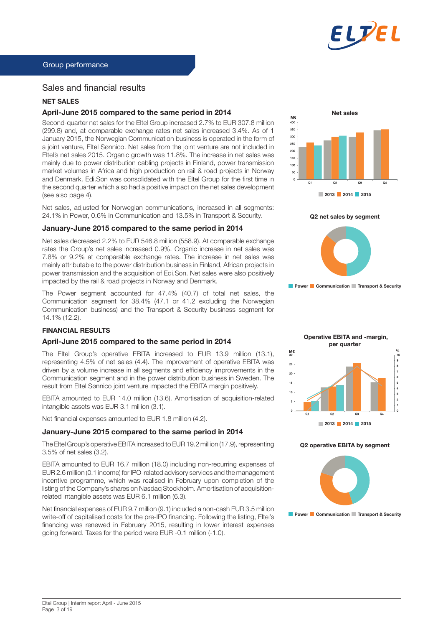

## Sales and financial results

## NET SALES

## April-June 2015 compared to the same period in 2014

Second-quarter net sales for the Eltel Group increased 2.7% to EUR 307.8 million (299.8) and, at comparable exchange rates net sales increased 3.4%. As of 1 January 2015, the Norwegian Communication business is operated in the form of a joint venture, Eltel Sønnico. Net sales from the joint venture are not included in Eltel's net sales 2015. Organic growth was 11.8%. The increase in net sales was mainly due to power distribution cabling projects in Finland, power transmission market volumes in Africa and high production on rail & road projects in Norway and Denmark. Edi.Son was consolidated with the Eltel Group for the first time in the second quarter which also had a positive impact on the net sales development (see also page 4).

Net sales, adjusted for Norwegian communications, increased in all segments: 24.1% in Power, 0.6% in Communication and 13.5% in Transport & Security.

#### January-June 2015 compared to the same period in 2014

Net sales decreased 2.2% to EUR 546.8 million (558.9). At comparable exchange rates the Group's net sales increased 0.9%. Organic increase in net sales was 7.8% or 9.2% at comparable exchange rates. The increase in net sales was mainly attributable to the power distribution business in Finland, African projects in power transmission and the acquisition of Edi.Son. Net sales were also positively impacted by the rail & road projects in Norway and Denmark.

The Power segment accounted for 47.4% (40.7) of total net sales, the Communication segment for 38.4% (47.1 or 41.2 excluding the Norwegian Communication business) and the Transport & Security business segment for 14.1% (12.2).

## FINANCIAL RESULTS

#### April-June 2015 compared to the same period in 2014

The Eltel Group's operative EBITA increased to EUR 13.9 million (13.1), representing 4.5% of net sales (4.4). The improvement of operative EBITA was driven by a volume increase in all segments and efficiency improvements in the Communication segment and in the power distribution business in Sweden. The result from Eltel Sønnico joint venture impacted the EBITA margin positively.

EBITA amounted to EUR 14.0 million (13.6). Amortisation of acquisition-related intangible assets was EUR 3.1 million (3.1).

Net financial expenses amounted to EUR 1.8 million (4.2).

#### January-June 2015 compared to the same period in 2014

The Eltel Group's operative EBITA increased to EUR 19.2 million (17.9), representing 3.5% of net sales (3.2).

EBITA amounted to EUR 16.7 million (18.0) including non-recurring expenses of EUR 2.6 million (0.1 income) for IPO-related advisory services and the management incentive programme, which was realised in February upon completion of the listing of the Company's shares on Nasdaq Stockholm. Amortisation of acquisitionrelated intangible assets was EUR 6.1 million (6.3).

Net financial expenses of EUR 9.7 million (9.1) included a non-cash EUR 3.5 million write-off of capitalised costs for the pre-IPO financing. Following the listing, Eltel's financing was renewed in February 2015, resulting in lower interest expenses going forward. Taxes for the period were EUR -0.1 million (-1.0).







**Power Communication Transport & Security** 



2013 2014 2015

#### Q2 operative EBITA by segment

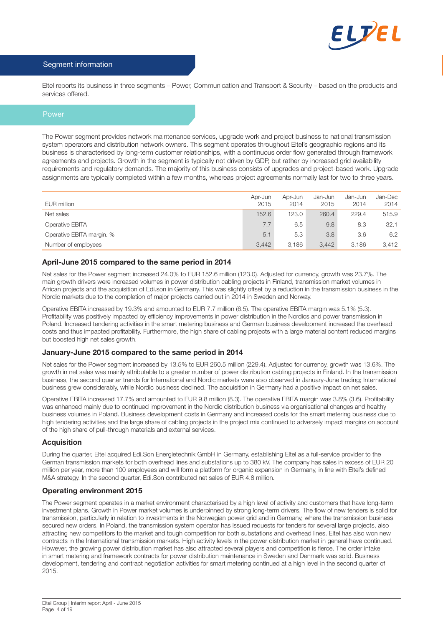

## Segment information

Eltel reports its business in three segments – Power, Communication and Transport & Security – based on the products and services offered.

## Power

The Power segment provides network maintenance services, upgrade work and project business to national transmission system operators and distribution network owners. This segment operates throughout Eltel's geographic regions and its business is characterised by long-term customer relationships, with a continuous order flow generated through framework agreements and projects. Growth in the segment is typically not driven by GDP, but rather by increased grid availability requirements and regulatory demands. The majority of this business consists of upgrades and project-based work. Upgrade assignments are typically completed within a few months, whereas project agreements normally last for two to three years.

| EUR million               | Apr-Jun<br>2015 | Apr-Jun<br>2014 | Jan-Jun<br>2015 | Jan-Jun<br>2014 | Jan-Dec<br>2014 |
|---------------------------|-----------------|-----------------|-----------------|-----------------|-----------------|
| Net sales                 | 152.6           | 123.0           | 260.4           | 229.4           | 515.9           |
| Operative EBITA           | 7.7             | 6.5             | 9.8             | 8.3             | 32.1            |
| Operative EBITA margin. % | 5.1             | 5.3             | 3.8             | 3.6             | 6.2             |
| Number of employees       | 3.442           | 3,186           | 3,442           | 3.186           | 3.412           |

#### April-June 2015 compared to the same period in 2014

Net sales for the Power segment increased 24.0% to EUR 152.6 million (123.0). Adjusted for currency, growth was 23.7%. The main growth drivers were increased volumes in power distribution cabling projects in Finland, transmission market volumes in African projects and the acquisition of Edi.son in Germany. This was slightly offset by a reduction in the transmission business in the Nordic markets due to the completion of major projects carried out in 2014 in Sweden and Norway.

Operative EBITA increased by 19.3% and amounted to EUR 7.7 million (6.5). The operative EBITA margin was 5.1% (5.3). Profitability was positively impacted by efficiency improvements in power distribution in the Nordics and power transmission in Poland. Increased tendering activities in the smart metering business and German business development increased the overhead costs and thus impacted profitability. Furthermore, the high share of cabling projects with a large material content reduced margins but boosted high net sales growth.

#### January-June 2015 compared to the same period in 2014

Net sales for the Power segment increased by 13.5% to EUR 260.5 million (229.4). Adjusted for currency, growth was 13.6%. The growth in net sales was mainly attributable to a greater number of power distribution cabling projects in Finland. In the transmission business, the second quarter trends for International and Nordic markets were also observed in January-June trading; International business grew considerably, while Nordic business declined. The acquisition in Germany had a positive impact on net sales.

Operative EBITA increased 17.7% and amounted to EUR 9.8 million (8.3). The operative EBITA margin was 3.8% (3.6). Profitability was enhanced mainly due to continued improvement in the Nordic distribution business via organisational changes and healthy business volumes in Poland. Business development costs in Germany and increased costs for the smart metering business due to high tendering activities and the large share of cabling projects in the project mix continued to adversely impact margins on account of the high share of pull-through materials and external services.

#### **Acquisition**

During the quarter, Eltel acquired Edi.Son Energietechnik GmbH in Germany, establishing Eltel as a full-service provider to the German transmission markets for both overhead lines and substations up to 380 kV. The company has sales in excess of EUR 20 million per year, more than 100 employees and will form a platform for organic expansion in Germany, in line with Eltel's defined M&A strategy. In the second quarter, Edi.Son contributed net sales of EUR 4.8 million.

#### Operating environment 2015

The Power segment operates in a market environment characterised by a high level of activity and customers that have long-term investment plans. Growth in Power market volumes is underpinned by strong long-term drivers. The flow of new tenders is solid for transmission, particularly in relation to investments in the Norwegian power grid and in Germany, where the transmission business secured new orders. In Poland, the transmission system operator has issued requests for tenders for several large projects, also attracting new competitors to the market and tough competition for both substations and overhead lines. Eltel has also won new contracts in the International transmission markets. High activity levels in the power distribution market in general have continued. However, the growing power distribution market has also attracted several players and competition is fierce. The order intake in smart metering and framework contracts for power distribution maintenance in Sweden and Denmark was solid. Business development, tendering and contract negotiation activities for smart metering continued at a high level in the second quarter of 2015.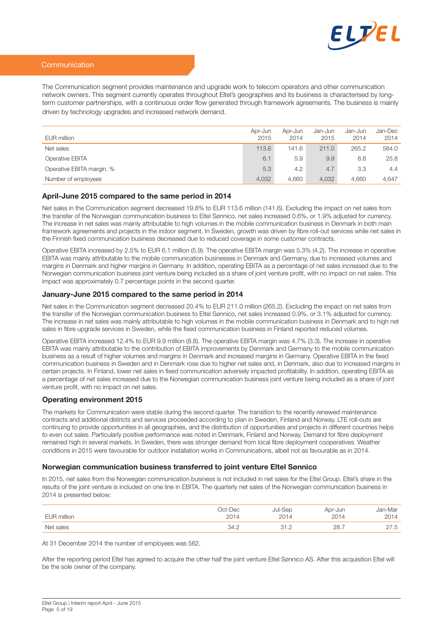

#### **Communication**

The Communication segment provides maintenance and upgrade work to telecom operators and other communication network owners. This segment currently operates throughout Eltel's geographies and its business is characterised by longterm customer partnerships, with a continuous order flow generated through framework agreements. The business is mainly driven by technology upgrades and increased network demand.

| EUR million               | Apr-Jun<br>2015 | Apr-Jun<br>2014 | Jan-Jun<br>2015 | Jan-Jun<br>2014 | Jan-Dec<br>2014 |
|---------------------------|-----------------|-----------------|-----------------|-----------------|-----------------|
| Net sales                 | 113.6           | 141.6           | 211.0           | 265.2           | 584.0           |
| Operative EBITA           | 6.1             | 5.9             | 9.9             | 8.8             | 25.8            |
| Operative EBITA margin. % | 5.3             | 4.2             | 4.7             | 3.3             | 4.4             |
| Number of employees       | 4.032           | 4.660           | 4,032           | 4.660           | 4,647           |

#### April-June 2015 compared to the same period in 2014

Net sales in the Communication segment decreased 19.8% to EUR 113.6 million (141.6). Excluding the impact on net sales from the transfer of the Norwegian communication business to Eltel Sønnico, net sales increased 0.6%, or 1.9% adjusted for currency. The increase in net sales was mainly attributable to high volumes in the mobile communication business in Denmark in both main framework agreements and projects in the indoor segment. In Sweden, growth was driven by fibre roll-out services while net sales in the Finnish fixed communication business decreased due to reduced coverage in some customer contracts.

Operative EBITA increased by 2.5% to EUR 6.1 million (5.9). The operative EBITA margin was 5.3% (4.2). The increase in operative EBITA was mainly attributable to the mobile communication businesses in Denmark and Germany, due to increased volumes and margins in Denmark and higher margins in Germany. In addition, operating EBITA as a percentage of net sales increased due to the Norwegian communication business joint venture being included as a share of joint venture profit, with no impact on net sales. This impact was approximately 0.7 percentage points in the second quarter.

#### January-June 2015 compared to the same period in 2014

Net sales in the Communication segment decreased 20.4% to EUR 211.0 million (265.2). Excluding the impact on net sales from the transfer of the Norwegian communication business to Eltel Sønnico, net sales increased 0.9%, or 3.1% adjusted for currency. The increase in net sales was mainly attributable to high volumes in the mobile communication business in Denmark and to high net sales in fibre upgrade services in Sweden, while the fixed communication business in Finland reported reduced volumes.

Operative EBITA increased 12.4% to EUR 9.9 million (8.8). The operative EBITA margin was 4.7% (3.3). The increase in operative EBITA was mainly attributable to the contribution of EBITA improvements by Denmark and Germany to the mobile communication business as a result of higher volumes and margins in Denmark and increased margins in Germany. Operative EBITA in the fixed communication business in Sweden and in Denmark rose due to higher net sales and, in Denmark, also due to increased margins in certain projects. In Finland, lower net sales in fixed communication adversely impacted profitability. In addition, operating EBITA as a percentage of net sales increased due to the Norwegian communication business joint venture being included as a share of joint venture profit, with no impact on net sales.

#### Operating environment 2015

The markets for Communication were stable during the second quarter. The transition to the recently renewed maintenance contracts and additional districts and services proceeded according to plan in Sweden, Finland and Norway. LTE roll-outs are continuing to provide opportunities in all geographies, and the distribution of opportunities and projects in different countries helps to even out sales. Particularly positive performance was noted in Denmark, Finland and Norway. Demand for fibre deployment remained high in several markets. In Sweden, there was stronger demand from local fibre deployment cooperatives. Weather conditions in 2015 were favourable for outdoor installation works in Communications, albeit not as favourable as in 2014.

#### Norwegian communication business transferred to joint venture Eltel Sønnico

In 2015, net sales from the Norwegian communication business is not included in net sales for the Eltel Group. Eltel's share in the results of the joint venture is included on one line in EBITA. The quarterly net sales of the Norwegian communication business in 2014 is presented below:

| million<br>FUR | )ct-Dec<br>2014 | Ser<br>2014 | Apr-Jun<br>2014<br>$-\circ$ . | Jan-Mar<br>2011<br>$\overline{\phantom{0}}$ |
|----------------|-----------------|-------------|-------------------------------|---------------------------------------------|
| Net sales      | 34.2            | $\cdots$    | 28.7                          | ں ، ے                                       |

At 31 December 2014 the number of employees was 562.

After the reporting period Eltel has agreed to acquire the other half the joint venture Eltel Sønnico AS. After this acquisition Eltel will be the sole owner of the company.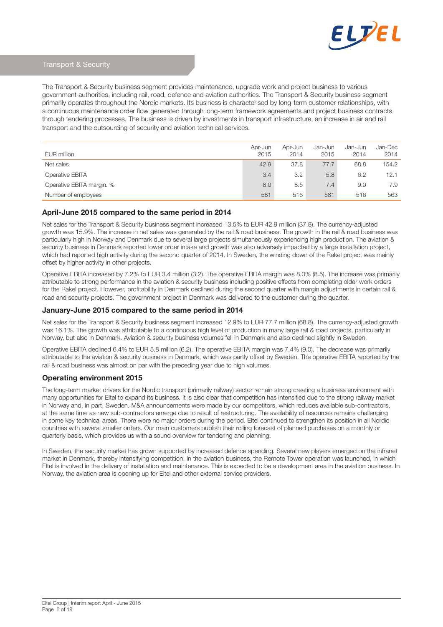

## Transport & Security

The Transport & Security business segment provides maintenance, upgrade work and project business to various government authorities, including rail, road, defence and aviation authorities. The Transport & Security business segment primarily operates throughout the Nordic markets. Its business is characterised by long-term customer relationships, with a continuous maintenance order flow generated through long-term framework agreements and project business contracts through tendering processes. The business is driven by investments in transport infrastructure, an increase in air and rail transport and the outsourcing of security and aviation technical services.

| EUR million               | Apr-Jun<br>2015 | Apr-Jun<br>2014 | Jan-Jun<br>2015 | Jan-Jun<br>2014 | Jan-Dec<br>2014 |
|---------------------------|-----------------|-----------------|-----------------|-----------------|-----------------|
| Net sales                 | 42.9            | 37.8            | 77.7            | 68.8            | 154.2           |
| Operative EBITA           | 3.4             | 3.2             | 5.8             | 6.2             | 12.1            |
| Operative EBITA margin. % | 8.0             | 8.5             | 7.4             | 9.0             | 7.9             |
| Number of employees       | 581             | 516             | 581             | 516             | 563             |

#### April-June 2015 compared to the same period in 2014

Net sales for the Transport & Security business segment increased 13.5% to EUR 42.9 million (37.8). The currency-adjusted growth was 15.9%. The increase in net sales was generated by the rail & road business. The growth in the rail & road business was particularly high in Norway and Denmark due to several large projects simultaneously experiencing high production. The aviation & security business in Denmark reported lower order intake and growth was also adversely impacted by a large installation project, which had reported high activity during the second quarter of 2014. In Sweden, the winding down of the Rakel project was mainly offset by higher activity in other projects.

Operative EBITA increased by 7.2% to EUR 3.4 million (3.2). The operative EBITA margin was 8.0% (8.5). The increase was primarily attributable to strong performance in the aviation & security business including positive effects from completing older work orders for the Rakel project. However, profitability in Denmark declined during the second quarter with margin adjustments in certain rail & road and security projects. The government project in Denmark was delivered to the customer during the quarter.

#### January-June 2015 compared to the same period in 2014

Net sales for the Transport & Security business segment increased 12.9% to EUR 77.7 million (68.8). The currency-adjusted growth was 16.1%. The growth was attributable to a continuous high level of production in many large rail & road projects, particularly in Norway, but also in Denmark. Aviation & security business volumes fell in Denmark and also declined slightly in Sweden.

Operative EBITA declined 6.4% to EUR 5.8 million (6.2). The operative EBITA margin was 7.4% (9.0). The decrease was primarily attributable to the aviation & security business in Denmark, which was partly offset by Sweden. The operative EBITA reported by the rail & road business was almost on par with the preceding year due to high volumes.

#### Operating environment 2015

The long-term market drivers for the Nordic transport (primarily railway) sector remain strong creating a business environment with many opportunities for Eltel to expand its business. It is also clear that competition has intensified due to the strong railway market in Norway and, in part, Sweden. M&A announcements were made by our competitors, which reduces available sub-contractors, at the same time as new sub-contractors emerge due to result of restructuring. The availability of resources remains challenging in some key technical areas. There were no major orders during the period. Eltel continued to strengthen its position in all Nordic countries with several smaller orders. Our main customers publish their rolling forecast of planned purchases on a monthly or quarterly basis, which provides us with a sound overview for tendering and planning.

In Sweden, the security market has grown supported by increased defence spending. Several new players emerged on the infranet market in Denmark, thereby intensifying competition. In the aviation business, the Remote Tower operation was launched, in which Eltel is involved in the delivery of installation and maintenance. This is expected to be a development area in the aviation business. In Norway, the aviation area is opening up for Eltel and other external service providers.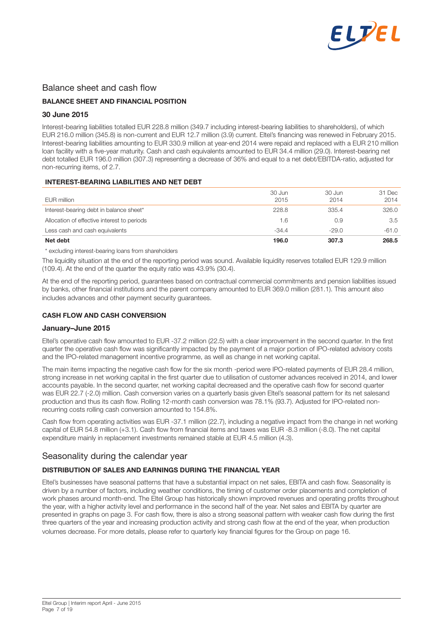

## Balance sheet and cash flow

## BALANCE SHEET AND FINANCIAL POSITION

### 30 June 2015

Interest-bearing liabilities totalled EUR 228.8 million (349.7 including interest-bearing liabilities to shareholders), of which EUR 216.0 million (345.8) is non-current and EUR 12.7 million (3.9) current. Eltel's financing was renewed in February 2015. Interest-bearing liabilities amounting to EUR 330.9 million at year-end 2014 were repaid and replaced with a EUR 210 million loan facility with a five-year maturity. Cash and cash equivalents amounted to EUR 34.4 million (29.0). Interest-bearing net debt totalled EUR 196.0 million (307.3) representing a decrease of 36% and equal to a net debt/EBITDA-ratio, adjusted for non-recurring items, of 2.7.

#### INTEREST-BEARING LIABILITIES AND NET DEBT

| 196.0   |         | 268.5           |
|---------|---------|-----------------|
| $-34.4$ | $-29.0$ | $-61.0$         |
| 1.6     | 0.9     | 3.5             |
| 228.8   | 335.4   | 326.0           |
| 2015    | 2014    | 31 Dec<br>2014  |
|         | 30 Jun  | 30 Jun<br>307.3 |

\* excluding interest-bearing loans from shareholders

The liquidity situation at the end of the reporting period was sound. Available liquidity reserves totalled EUR 129.9 million (109.4). At the end of the quarter the equity ratio was 43.9% (30.4).

At the end of the reporting period, guarantees based on contractual commercial commitments and pension liabilities issued by banks, other financial institutions and the parent company amounted to EUR 369.0 million (281.1). This amount also includes advances and other payment security guarantees.

#### CASH FLOW AND CASH CONVERSION

#### January–June 2015

Eltel's operative cash flow amounted to EUR -37.2 million (22.5) with a clear improvement in the second quarter. In the first quarter the operative cash flow was significantly impacted by the payment of a major portion of IPO-related advisory costs and the IPO-related management incentive programme, as well as change in net working capital.

The main items impacting the negative cash flow for the six month -period were IPO-related payments of EUR 28.4 million, strong increase in net working capital in the first quarter due to utilisation of customer advances received in 2014, and lower accounts payable. In the second quarter, net working capital decreased and the operative cash flow for second quarter was EUR 22.7 (-2.0) million. Cash conversion varies on a quarterly basis given Eltel's seasonal pattern for its net salesand production and thus its cash flow. Rolling 12-month cash conversion was 78.1% (93.7). Adjusted for IPO-related nonrecurring costs rolling cash conversion amounted to 154.8%.

Cash flow from operating activities was EUR -37.1 million (22.7), including a negative impact from the change in net working capital of EUR 54.8 million (+3.1). Cash flow from financial items and taxes was EUR -8.3 million (-8.0). The net capital expenditure mainly in replacement investments remained stable at EUR 4.5 million (4.3).

## Seasonality during the calendar year

## DISTRIBUTION OF SALES AND EARNINGS DURING THE FINANCIAL YEAR

Eltel's businesses have seasonal patterns that have a substantial impact on net sales, EBITA and cash flow. Seasonality is driven by a number of factors, including weather conditions, the timing of customer order placements and completion of work phases around month-end. The Eltel Group has historically shown improved revenues and operating profits throughout the year, with a higher activity level and performance in the second half of the year. Net sales and EBITA by quarter are presented in graphs on page 3. For cash flow, there is also a strong seasonal pattern with weaker cash flow during the first three quarters of the year and increasing production activity and strong cash flow at the end of the year, when production volumes decrease. For more details, please refer to quarterly key financial figures for the Group on page 16.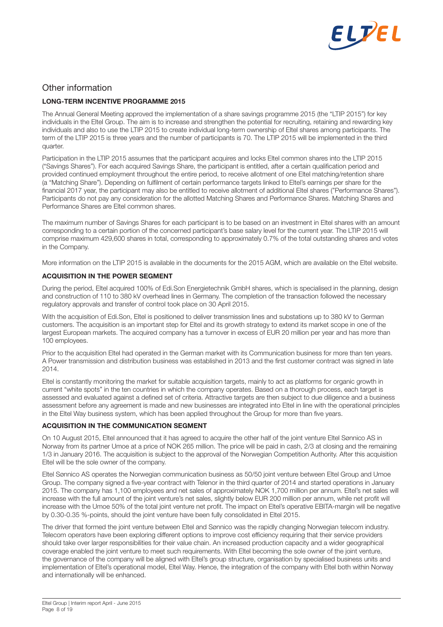

## Other information

## LONG-TERM INCENTIVE PROGRAMME 2015

The Annual General Meeting approved the implementation of a share savings programme 2015 (the "LTIP 2015") for key individuals in the Eltel Group. The aim is to increase and strengthen the potential for recruiting, retaining and rewarding key individuals and also to use the LTIP 2015 to create individual long-term ownership of Eltel shares among participants. The term of the LTIP 2015 is three years and the number of participants is 70. The LTIP 2015 will be implemented in the third quarter.

Participation in the LTIP 2015 assumes that the participant acquires and locks Eltel common shares into the LTIP 2015 ("Savings Shares"). For each acquired Savings Share, the participant is entitled, after a certain qualification period and provided continued employment throughout the entire period, to receive allotment of one Eltel matching/retention share (a "Matching Share"). Depending on fulfilment of certain performance targets linked to Eltel's earnings per share for the financial 2017 year, the participant may also be entitled to receive allotment of additional Eltel shares ("Performance Shares"). Participants do not pay any consideration for the allotted Matching Shares and Performance Shares. Matching Shares and Performance Shares are Eltel common shares.

The maximum number of Savings Shares for each participant is to be based on an investment in Eltel shares with an amount corresponding to a certain portion of the concerned participant's base salary level for the current year. The LTIP 2015 will comprise maximum 429,600 shares in total, corresponding to approximately 0.7% of the total outstanding shares and votes in the Company.

More information on the LTIP 2015 is available in the documents for the 2015 AGM, which are available on the Eltel website.

#### ACQUISITION IN THE POWER SEGMENT

During the period, Eltel acquired 100% of Edi.Son Energietechnik GmbH shares, which is specialised in the planning, design and construction of 110 to 380 kV overhead lines in Germany. The completion of the transaction followed the necessary regulatory approvals and transfer of control took place on 30 April 2015.

With the acquisition of Edi.Son, Eltel is positioned to deliver transmission lines and substations up to 380 kV to German customers. The acquisition is an important step for Eltel and its growth strategy to extend its market scope in one of the largest European markets. The acquired company has a turnover in excess of EUR 20 million per year and has more than 100 employees.

Prior to the acquisition Eltel had operated in the German market with its Communication business for more than ten years. A Power transmission and distribution business was established in 2013 and the first customer contract was signed in late 2014.

Eltel is constantly monitoring the market for suitable acquisition targets, mainly to act as platforms for organic growth in current "white spots" in the ten countries in which the company operates. Based on a thorough process, each target is assessed and evaluated against a defined set of criteria. Attractive targets are then subject to due diligence and a business assessment before any agreement is made and new businesses are integrated into Eltel in line with the operational principles in the Eltel Way business system, which has been applied throughout the Group for more than five years.

#### ACQUISITION IN THE COMMUNICATION SEGMENT

On 10 August 2015, Eltel announced that it has agreed to acquire the other half of the joint venture Eltel Sønnico AS in Norway from its partner Umoe at a price of NOK 265 million. The price will be paid in cash, 2/3 at closing and the remaining 1/3 in January 2016. The acquisition is subject to the approval of the Norwegian Competition Authority. After this acquisition Eltel will be the sole owner of the company.

Eltel Sønnico AS operates the Norwegian communication business as 50/50 joint venture between Eltel Group and Umoe Group. The company signed a five-year contract with Telenor in the third quarter of 2014 and started operations in January 2015. The company has 1,100 employees and net sales of approximately NOK 1,700 million per annum. Eltel's net sales will increase with the full amount of the joint venture's net sales, slightly below EUR 200 million per annum, while net profit will increase with the Umoe 50% of the total joint venture net profit. The impact on Eltel's operative EBITA-margin will be negative by 0.30-0.35 %-points, should the joint venture have been fully consolidated in Eltel 2015.

The driver that formed the joint venture between Eltel and Sønnico was the rapidly changing Norwegian telecom industry. Telecom operators have been exploring different options to improve cost efficiency requiring that their service providers should take over larger responsibilities for their value chain. An increased production capacity and a wider geographical coverage enabled the joint venture to meet such requirements. With Eltel becoming the sole owner of the joint venture, the governance of the company will be aligned with Eltel's group structure, organisation by specialised business units and implementation of Eltel's operational model, Eltel Way. Hence, the integration of the company with Eltel both within Norway and internationally will be enhanced.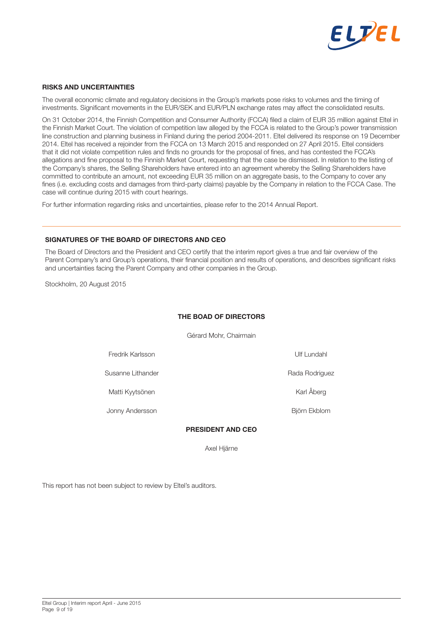

#### RISKS AND UNCERTAINTIES

The overall economic climate and regulatory decisions in the Group's markets pose risks to volumes and the timing of investments. Significant movements in the EUR/SEK and EUR/PLN exchange rates may affect the consolidated results.

On 31 October 2014, the Finnish Competition and Consumer Authority (FCCA) filed a claim of EUR 35 million against Eltel in the Finnish Market Court. The violation of competition law alleged by the FCCA is related to the Group's power transmission line construction and planning business in Finland during the period 2004-2011. Eltel delivered its response on 19 December 2014. Eltel has received a rejoinder from the FCCA on 13 March 2015 and responded on 27 April 2015. Eltel considers that it did not violate competition rules and finds no grounds for the proposal of fines, and has contested the FCCA's allegations and fine proposal to the Finnish Market Court, requesting that the case be dismissed. In relation to the listing of the Company's shares, the Selling Shareholders have entered into an agreement whereby the Selling Shareholders have committed to contribute an amount, not exceeding EUR 35 million on an aggregate basis, to the Company to cover any fines (i.e. excluding costs and damages from third-party claims) payable by the Company in relation to the FCCA Case. The case will continue during 2015 with court hearings.

For further information regarding risks and uncertainties, please refer to the 2014 Annual Report.

### SIGNATURES OF THE BOARD OF DIRECTORS AND CEO

The Board of Directors and the President and CEO certify that the interim report gives a true and fair overview of the Parent Company's and Group's operations, their financial position and results of operations, and describes significant risks and uncertainties facing the Parent Company and other companies in the Group.

Stockholm, 20 August 2015

## THE BOAD OF DIRECTORS

Gérard Mohr, Chairmain

Fredrik Karlsson Ulf Lundahl

Susanne Lithander **Rada Rodriguez** Rada Rodriguez

Matti Kyytsönen Karl Åberg Karl Åberg

Jonny Andersson and Björn Ekblom

#### PRESIDENT AND CEO

Axel Hjärne

This report has not been subject to review by Eltel's auditors.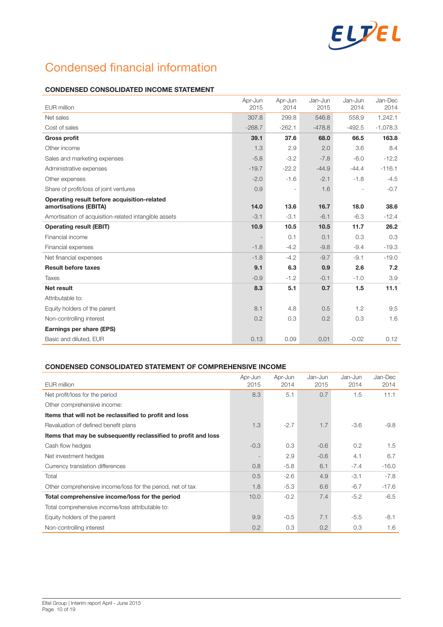

# Condensed financial information

## CONDENSED CONSOLIDATED INCOME STATEMENT

| EUR million                                                          | Apr-Jun<br>2015 | Apr-Jun<br>2014 | Jan-Jun<br>2015 | Jan-Jun<br>2014 | Jan-Dec<br>2014 |
|----------------------------------------------------------------------|-----------------|-----------------|-----------------|-----------------|-----------------|
| Net sales                                                            | 307.8           | 299.8           | 546.8           | 558.9           | 1,242.1         |
| Cost of sales                                                        | $-268.7$        | $-262.1$        | $-478.8$        | $-492.5$        | $-1,078.3$      |
| <b>Gross profit</b>                                                  | 39.1            | 37.6            | 68.0            | 66.5            | 163.8           |
| Other income                                                         | 1.3             | 2.9             | 2.0             | 3.6             | 8.4             |
| Sales and marketing expenses                                         | $-5.8$          | $-3.2$          | $-7.8$          | $-6.0$          | $-12.2$         |
| Administrative expenses                                              | $-19.7$         | $-22.2$         | $-44.9$         | $-44.4$         | $-116.1$        |
| Other expenses                                                       | $-2.0$          | $-1.6$          | $-2.1$          | $-1.8$          | $-4.5$          |
| Share of profit/loss of joint ventures                               | 0.9             |                 | 1.6             |                 | $-0.7$          |
| Operating result before acquisition-related<br>amortisations (EBITA) | 14.0            | 13.6            | 16.7            | 18.0            | 38.6            |
| Amortisation of acquisition-related intangible assets                | $-3.1$          | $-3.1$          | $-6.1$          | $-6.3$          | $-12.4$         |
| <b>Operating result (EBIT)</b>                                       | 10.9            | 10.5            | 10.5            | 11.7            | 26.2            |
| Financial income                                                     |                 | 0.1             | 0.1             | 0.3             | 0.3             |
| Financial expenses                                                   | $-1.8$          | $-4.2$          | $-9.8$          | $-9.4$          | $-19.3$         |
| Net financial expenses                                               | $-1.8$          | $-4.2$          | $-9.7$          | $-9.1$          | $-19.0$         |
| <b>Result before taxes</b>                                           | 9.1             | 6.3             | 0.9             | 2.6             | 7.2             |
| <b>Taxes</b>                                                         | $-0.9$          | $-1.2$          | $-0.1$          | $-1.0$          | 3.9             |
| Net result                                                           | 8.3             | 5.1             | 0.7             | 1.5             | 11.1            |
| Attributable to:                                                     |                 |                 |                 |                 |                 |
| Equity holders of the parent                                         | 8.1             | 4.8             | 0.5             | 1.2             | 9.5             |
| Non-controlling interest                                             | 0.2             | 0.3             | 0.2             | 0.3             | 1.6             |
| Earnings per share (EPS)                                             |                 |                 |                 |                 |                 |
| Basic and diluted, EUR                                               | 0.13            | 0.09            | 0.01            | $-0.02$         | 0.12            |

### CONDENSED CONSOLIDATED STATEMENT OF COMPREHENSIVE INCOME

| EUR million                                                    | Apr-Jun<br>2015 | Apr-Jun<br>2014 | Jan-Jun<br>2015 | Jan-Jun<br>2014 | Jan-Dec<br>2014 |
|----------------------------------------------------------------|-----------------|-----------------|-----------------|-----------------|-----------------|
| Net profit/loss for the period                                 | 8.3             | 5.1             | 0.7             | 1.5             | 11.1            |
| Other comprehensive income:                                    |                 |                 |                 |                 |                 |
| Items that will not be reclassified to profit and loss         |                 |                 |                 |                 |                 |
| Revaluation of defined benefit plans                           | 1.3             | $-2.7$          | 1.7             | $-3.6$          | $-9.8$          |
| Items that may be subsequently reclassified to profit and loss |                 |                 |                 |                 |                 |
| Cash flow hedges                                               | $-0.3$          | 0.3             | $-0.6$          | 0.2             | 1.5             |
| Net investment hedges                                          |                 | 2.9             | $-0.6$          | 4.1             | 6.7             |
| Currency translation differences                               | 0.8             | $-5.8$          | 6.1             | $-7.4$          | $-16.0$         |
| Total                                                          | 0.5             | $-2.6$          | 4.9             | $-3.1$          | $-7.8$          |
| Other comprehensive income/loss for the period, net of tax     | 1.8             | $-5.3$          | 6.6             | $-6.7$          | $-17.6$         |
| Total comprehensive income/loss for the period                 | 10.0            | $-0.2$          | 7.4             | $-5.2$          | $-6.5$          |
| Total comprehensive income/loss attributable to:               |                 |                 |                 |                 |                 |
| Equity holders of the parent                                   | 9.9             | $-0.5$          | 7.1             | $-5.5$          | $-8.1$          |
| Non-controlling interest                                       | 0.2             | 0.3             | 0.2             | 0.3             | 1.6             |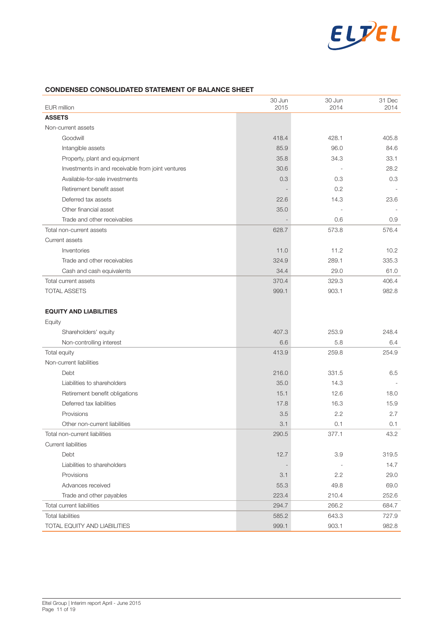

## CONDENSED CONSOLIDATED STATEMENT OF BALANCE SHEET

| EUR million                                       | 30 Jun<br>2015 | 30 Jun<br>2014 | 31 Dec<br>2014 |
|---------------------------------------------------|----------------|----------------|----------------|
| <b>ASSETS</b>                                     |                |                |                |
| Non-current assets                                |                |                |                |
| Goodwill                                          | 418.4          | 428.1          | 405.8          |
| Intangible assets                                 | 85.9           | 96.0           | 84.6           |
| Property, plant and equipment                     | 35.8           | 34.3           | 33.1           |
| Investments in and receivable from joint ventures | 30.6           |                | 28.2           |
| Available-for-sale investments                    | 0.3            | 0.3            | 0.3            |
| Retirement benefit asset                          |                | 0.2            |                |
| Deferred tax assets                               | 22.6           | 14.3           | 23.6           |
| Other financial asset                             | 35.0           |                |                |
| Trade and other receivables                       |                | 0.6            | 0.9            |
| Total non-current assets                          | 628.7          | 573.8          | 576.4          |
| Current assets                                    |                |                |                |
| Inventories                                       | 11.0           | 11.2           | 10.2           |
| Trade and other receivables                       | 324.9          | 289.1          | 335.3          |
| Cash and cash equivalents                         | 34.4           | 29.0           | 61.0           |
| Total current assets                              | 370.4          | 329.3          | 406.4          |
| <b>TOTAL ASSETS</b>                               | 999.1          | 903.1          | 982.8          |
|                                                   |                |                |                |
| <b>EQUITY AND LIABILITIES</b>                     |                |                |                |
| Equity                                            |                |                |                |
| Shareholders' equity                              | 407.3          | 253.9          | 248.4          |
| Non-controlling interest                          | 6.6            | 5.8            | 6.4            |
| Total equity                                      | 413.9          | 259.8          | 254.9          |
| Non-current liabilities                           |                |                |                |
| Debt                                              | 216.0          | 331.5          | 6.5            |
| Liabilities to shareholders                       | 35.0           | 14.3           |                |
| Retirement benefit obligations                    | 15.1           | 12.6           | 18.0           |
| Deferred tax liabilities                          | 17.8           | 16.3           | 15.9           |
| Provisions                                        | 3.5            | 2.2            | 2.7            |
| Other non-current liabilities                     | 3.1            | 0.1            | 0.1            |
| Total non-current liabilities                     | 290.5          | 377.1          | 43.2           |
| <b>Current liabilities</b>                        |                |                |                |
| Debt                                              | 12.7           | 3.9            | 319.5          |
| Liabilities to shareholders                       |                |                | 14.7           |
| Provisions                                        | 3.1            | 2.2            | 29.0           |
| Advances received                                 | 55.3           | 49.8           | 69.0           |
| Trade and other payables                          | 223.4          | 210.4          | 252.6          |
| Total current liabilities                         | 294.7          | 266.2          | 684.7          |
| <b>Total liabilities</b>                          | 585.2          | 643.3          | 727.9          |
| TOTAL EQUITY AND LIABILITIES                      | 999.1          | 903.1          | 982.8          |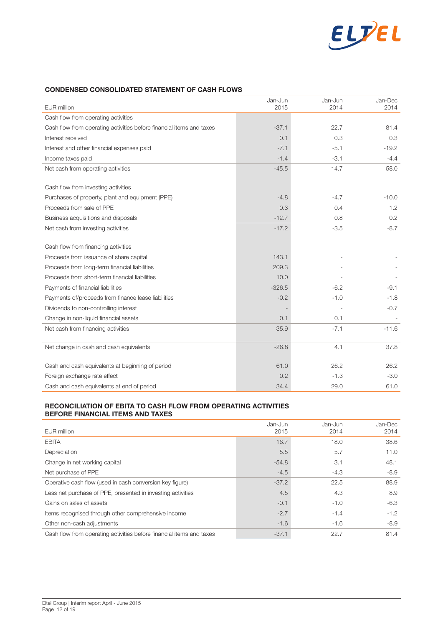

## CONDENSED CONSOLIDATED STATEMENT OF CASH FLOWS

| EUR million                                                          | Jan-Jun<br>2015 | Jan-Jun<br>2014 | Jan-Dec<br>2014 |
|----------------------------------------------------------------------|-----------------|-----------------|-----------------|
| Cash flow from operating activities                                  |                 |                 |                 |
| Cash flow from operating activities before financial items and taxes | $-37.1$         | 22.7            | 81.4            |
| Interest received                                                    | 0.1             | 0.3             | 0.3             |
| Interest and other financial expenses paid                           | $-7.1$          | $-5.1$          | $-19.2$         |
| Income taxes paid                                                    | $-1.4$          | $-3.1$          | $-4.4$          |
| Net cash from operating activities                                   | $-45.5$         | 14.7            | 58.0            |
| Cash flow from investing activities                                  |                 |                 |                 |
| Purchases of property, plant and equipment (PPE)                     | $-4.8$          | $-4.7$          | $-10.0$         |
| Proceeds from sale of PPE                                            | 0.3             | 0.4             | 1.2             |
| Business acquisitions and disposals                                  | $-12.7$         | 0.8             | 0.2             |
| Net cash from investing activities                                   | $-17.2$         | $-3.5$          | $-8.7$          |
|                                                                      |                 |                 |                 |
| Cash flow from financing activities                                  |                 |                 |                 |
| Proceeds from issuance of share capital                              | 143.1           |                 |                 |
| Proceeds from long-term financial liabilities                        | 209.3           |                 |                 |
| Proceeds from short-term financial liabilities                       | 10.0            |                 |                 |
| Payments of financial liabilities                                    | $-326.5$        | $-6.2$          | $-9.1$          |
| Payments of/proceeds from finance lease liabilities                  | $-0.2$          | $-1.0$          | $-1.8$          |
| Dividends to non-controlling interest                                |                 |                 | $-0.7$          |
| Change in non-liquid financial assets                                | 0.1             | 0.1             |                 |
| Net cash from financing activities                                   | 35.9            | $-7.1$          | $-11.6$         |
|                                                                      |                 |                 |                 |
| Net change in cash and cash equivalents                              | $-26.8$         | 4.1             | 37.8            |
| Cash and cash equivalents at beginning of period                     | 61.0            | 26.2            | 26.2            |
| Foreign exchange rate effect                                         | 0.2             | $-1.3$          | $-3.0$          |
| Cash and cash equivalents at end of period                           | 34.4            | 29.0            | 61.0            |

#### RECONCILIATION OF EBITA TO CASH FLOW FROM OPERATING ACTIVITIES BEFORE FINANCIAL ITEMS AND TAXES

| EUR million                                                          | Jan-Jun<br>2015 | Jan-Jun<br>2014 | Jan-Dec<br>2014 |
|----------------------------------------------------------------------|-----------------|-----------------|-----------------|
| <b>EBITA</b>                                                         | 16.7            | 18.0            | 38.6            |
| Depreciation                                                         | 5.5             | 5.7             | 11.0            |
| Change in net working capital                                        | $-54.8$         | 3.1             | 48.1            |
| Net purchase of PPE                                                  | $-4.5$          | $-4.3$          | $-8.9$          |
| Operative cash flow (used in cash conversion key figure)             | $-37.2$         | 22.5            | 88.9            |
| Less net purchase of PPE, presented in investing activities          | 4.5             | 4.3             | 8.9             |
| Gains on sales of assets                                             | $-0.1$          | $-1.0$          | $-6.3$          |
| Items recognised through other comprehensive income                  | $-2.7$          | $-1.4$          | $-1.2$          |
| Other non-cash adjustments                                           | $-1.6$          | $-1.6$          | $-8.9$          |
| Cash flow from operating activities before financial items and taxes | $-37.1$         | 22.7            | 81.4            |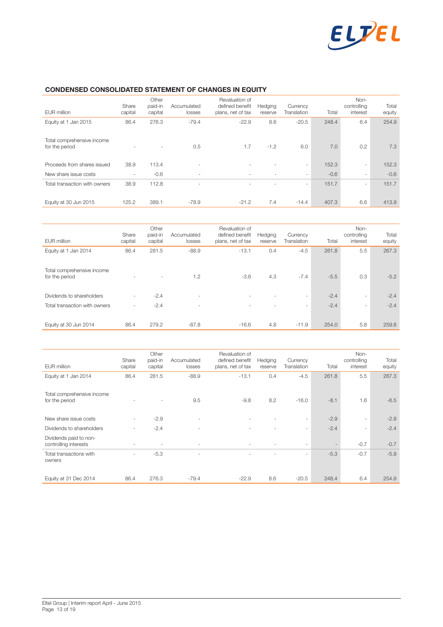

## CONDENSED CONSOLIDATED STATEMENT OF CHANGES IN EQUITY

| EUR million                                  | Share<br>capital         | Other<br>paid-in<br>capital | Accumulated<br>losses    | Revaluation of<br>defined benefit<br>plans, net of tax | Hedging<br>reserve       | Currency<br>Translation  | Total  | Non-<br>controlling<br>interest | Total<br>equity |
|----------------------------------------------|--------------------------|-----------------------------|--------------------------|--------------------------------------------------------|--------------------------|--------------------------|--------|---------------------------------|-----------------|
| Equity at 1 Jan 2015                         | 86.4                     | 276.3                       | $-79.4$                  | $-22.9$                                                | 8.6                      | $-20.5$                  | 248.4  | 6.4                             | 254.9           |
| Total comprehensive income<br>for the period | ۰                        | $\sim$                      | 0.5                      | 1.7                                                    | $-1.2$                   | 6.0                      | 7.0    | 0.2                             | 7.3             |
| Proceeds from shares issued                  | 38.9                     | 113.4                       | $\overline{\phantom{a}}$ | $\overline{\phantom{a}}$                               |                          | $\overline{\phantom{a}}$ | 152.3  | $\sim$                          | 152.3           |
| New share issue costs                        | $\overline{\phantom{a}}$ | $-0.6$                      | $\overline{\phantom{a}}$ | $\sim$                                                 | ٠                        | $\overline{\phantom{a}}$ | $-0.6$ | $\sim$                          | $-0.6$          |
| Total transaction with owners                | 38.9                     | 112.8                       |                          | ٠                                                      | $\overline{\phantom{a}}$ | $\overline{\phantom{a}}$ | 151.7  | $\sim$                          | 151.7           |
| Equity at 30 Jun 2015                        | 125.2                    | 389.1                       | $-78.9$                  | $-21.2$                                                | 7.4                      | $-14.4$                  | 407.3  | 6.6                             | 413.9           |

| EUR million                                  | Share<br>capital         | Other<br>paid-in<br>capital | Accumulated<br>losses    | Revaluation of<br>defined benefit<br>plans, net of tax | Hedging<br>reserve | Currency<br>Translation | Total  | Non-<br>controlling<br>interest | Total<br>equity |
|----------------------------------------------|--------------------------|-----------------------------|--------------------------|--------------------------------------------------------|--------------------|-------------------------|--------|---------------------------------|-----------------|
| Equity at 1 Jan 2014                         | 86.4                     | 281.5                       | $-88.9$                  | $-13.1$                                                | 0.4                | $-4.5$                  | 261.8  | 5.5                             | 267.3           |
| Total comprehensive income<br>for the period | $\overline{\phantom{a}}$ | $\sim$                      | 1.2                      | $-3.6$                                                 | 4.3                | $-7.4$                  | $-5.5$ | 0.3                             | $-5.2$          |
| Dividends to shareholders                    | $\sim$                   | $-2.4$                      | $\overline{\phantom{a}}$ | $\sim$                                                 |                    | $\sim$                  | $-2.4$ | $\sim$                          | $-2.4$          |
| Total transaction with owners                | $\overline{\phantom{a}}$ | $-2.4$                      | $\overline{\phantom{a}}$ | $\sim$                                                 |                    | $\sim$                  | $-2.4$ | $\sim$                          | $-2.4$          |
| Equity at 30 Jun 2014                        | 86.4                     | 279.2                       | $-87.8$                  | $-16.6$                                                | 4.8                | $-11.9$                 | 254.0  | 5.8                             | 259.8           |

|                            |                          | Other                    |                          | Revaluation of    |         |             |        | Non-        |        |
|----------------------------|--------------------------|--------------------------|--------------------------|-------------------|---------|-------------|--------|-------------|--------|
|                            | Share                    | paid-in                  | Accumulated              | defined benefit   | Hedging | Currency    |        | controlling | Total  |
| EUR million                | capital                  | capital                  | losses                   | plans, net of tax | reserve | Translation | Total  | interest    | equity |
| Equity at 1 Jan 2014       | 86.4                     | 281.5                    | $-88.9$                  | $-13.1$           | 0.4     | $-4.5$      | 261.8  | 5.5         | 267.3  |
|                            |                          |                          |                          |                   |         |             |        |             |        |
|                            |                          |                          |                          |                   |         |             |        |             |        |
| Total comprehensive income |                          |                          |                          |                   |         |             |        |             |        |
| for the period             |                          |                          | 9.5                      | $-9.8$            | 8.2     | $-16.0$     | $-8.1$ | 1.6         | $-6.5$ |
|                            |                          |                          |                          |                   |         |             |        |             |        |
| New share issue costs      | $\overline{\phantom{a}}$ | $-2.9$                   | ٠                        |                   |         | $\sim$      | $-2.9$ | $\sim$      | $-2.9$ |
| Dividends to shareholders  | $\overline{\phantom{a}}$ | $-2.4$                   | $\overline{\phantom{a}}$ |                   |         | $\sim$      | $-2.4$ | $\sim$      | $-2.4$ |
| Dividends paid to non-     |                          |                          |                          |                   |         |             |        |             |        |
| controlling interests      | $\overline{\phantom{a}}$ | $\overline{\phantom{a}}$ | ٠                        |                   |         | $\sim$      |        | $-0.7$      | $-0.7$ |
| Total transactions with    | $\sim$                   | $-5.3$                   | ٠                        |                   |         | $\sim$      | $-5.3$ | $-0.7$      | $-5.9$ |
| owners                     |                          |                          |                          |                   |         |             |        |             |        |
|                            |                          |                          |                          |                   |         |             |        |             |        |
| Equity at 31 Dec 2014      | 86.4                     | 276.3                    | $-79.4$                  | $-22.9$           | 8.6     | $-20.5$     | 248.4  | 6.4         | 254.9  |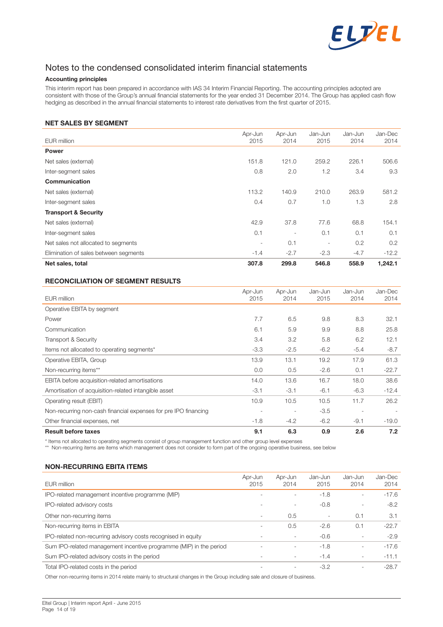

# Notes to the condensed consolidated interim financial statements

#### Accounting principles

This interim report has been prepared in accordance with IAS 34 Interim Financial Reporting. The accounting principles adopted are consistent with those of the Group's annual financial statements for the year ended 31 December 2014. The Group has applied cash flow hedging as described in the annual financial statements to interest rate derivatives from the first quarter of 2015.

#### NET SALES BY SEGMENT

|                                       | Apr-Jun                  | Apr-Jun | Jan-Jun | Jan-Jun | Jan-Dec |
|---------------------------------------|--------------------------|---------|---------|---------|---------|
| EUR million                           | 2015                     | 2014    | 2015    | 2014    | 2014    |
| <b>Power</b>                          |                          |         |         |         |         |
| Net sales (external)                  | 151.8                    | 121.0   | 259.2   | 226.1   | 506.6   |
| Inter-segment sales                   | 0.8                      | 2.0     | 1.2     | 3.4     | 9.3     |
| Communication                         |                          |         |         |         |         |
| Net sales (external)                  | 113.2                    | 140.9   | 210.0   | 263.9   | 581.2   |
| Inter-segment sales                   | 0.4                      | 0.7     | 1.0     | 1.3     | 2.8     |
| <b>Transport &amp; Security</b>       |                          |         |         |         |         |
| Net sales (external)                  | 42.9                     | 37.8    | 77.6    | 68.8    | 154.1   |
| Inter-segment sales                   | 0.1                      | ٠       | 0.1     | 0.1     | 0.1     |
| Net sales not allocated to segments   | $\overline{\phantom{a}}$ | 0.1     | ۰.      | 0.2     | 0.2     |
| Elimination of sales between segments | $-1.4$                   | $-2.7$  | $-2.3$  | $-4.7$  | $-12.2$ |
| Net sales, total                      | 307.8                    | 299.8   | 546.8   | 558.9   | 1,242.1 |

### RECONCILIATION OF SEGMENT RESULTS

| EUR million                                                     | Apr-Jun<br>2015 | Apr-Jun<br>2014 | Jan-Jun<br>2015 | Jan-Jun<br>2014 | Jan-Dec<br>2014 |
|-----------------------------------------------------------------|-----------------|-----------------|-----------------|-----------------|-----------------|
| Operative EBITA by segment                                      |                 |                 |                 |                 |                 |
| Power                                                           | 7.7             | 6.5             | 9.8             | 8.3             | 32.1            |
| Communication                                                   | 6.1             | 5.9             | 9.9             | 8.8             | 25.8            |
| <b>Transport &amp; Security</b>                                 | 3.4             | 3.2             | 5.8             | 6.2             | 12.1            |
| Items not allocated to operating segments*                      | $-3.3$          | $-2.5$          | $-6.2$          | $-5.4$          | $-8.7$          |
| Operative EBITA, Group                                          | 13.9            | 13.1            | 19.2            | 17.9            | 61.3            |
| Non-recurring items**                                           | 0.0             | 0.5             | $-2.6$          | 0.1             | $-22.7$         |
| EBITA before acquisition-related amortisations                  | 14.0            | 13.6            | 16.7            | 18.0            | 38.6            |
| Amortisation of acquisition-related intangible asset            | $-3.1$          | $-3.1$          | $-6.1$          | $-6.3$          | $-12.4$         |
| Operating result (EBIT)                                         | 10.9            | 10.5            | 10.5            | 11.7            | 26.2            |
| Non-recurring non-cash financial expenses for pre IPO financing |                 |                 | $-3.5$          |                 |                 |
| Other financial expenses, net                                   | $-1.8$          | $-4.2$          | $-6.2$          | $-9.1$          | $-19.0$         |
| <b>Result before taxes</b>                                      | 9.1             | 6.3             | 0.9             | 2.6             | 7.2             |

\* Items not allocated to operating segments consist of group management function and other group level expenses

\*\* Non-recurring items are items which management does not consider to form part of the ongoing operative business, see below

#### NON-RECURRING EBITA ITEMS

| EUR million                                                        | Apr-Jun<br>2015 | Apr-Jun<br>2014 | Jan-Jun<br>2015 | Jan-Jun<br>2014 | Jan-Dec<br>2014 |
|--------------------------------------------------------------------|-----------------|-----------------|-----------------|-----------------|-----------------|
| IPO-related management incentive programme (MIP)                   |                 | ٠.              | $-1.8$          |                 | $-17.6$         |
| IPO-related advisory costs                                         |                 | ۰               | $-0.8$          | ٠               | $-8.2$          |
| Other non-recurring items                                          | ۰               | 0.5             | ۰               | 0.1             | 3.1             |
| Non-recurring items in EBITA                                       |                 | 0.5             | $-2.6$          | 0.1             | $-22.7$         |
| IPO-related non-recurring advisory costs recognised in equity      |                 | ٠.              | $-0.6$          |                 | $-2.9$          |
| Sum IPO-related management incentive programme (MIP) in the period |                 | ٠.              | $-1.8$          | ۰               | $-17.6$         |
| Sum IPO-related advisory costs in the period                       |                 | ٠.              | $-1.4$          | ۰               | $-11.1$         |
| Total IPO-related costs in the period                              |                 | ۰               | $-3.2$          | ۰               | $-28.7$         |

Other non-recurring items in 2014 relate mainly to structural changes in the Group including sale and closure of business.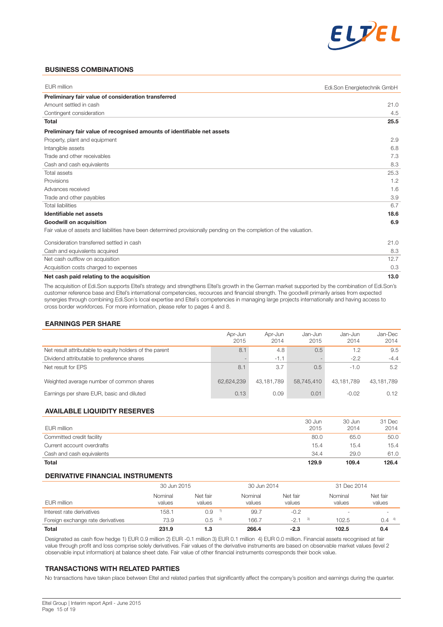

#### BUSINESS COMBINATIONS

| EUR million                                                                                                         | Edi.Son Energietechnik GmbH |
|---------------------------------------------------------------------------------------------------------------------|-----------------------------|
| Preliminary fair value of consideration transferred                                                                 |                             |
| Amount settled in cash                                                                                              | 21.0                        |
| Contingent consideration                                                                                            | 4.5                         |
| <b>Total</b>                                                                                                        | 25.5                        |
| Preliminary fair value of recognised amounts of identifiable net assets                                             |                             |
| Property, plant and equipment                                                                                       | 2.9                         |
| Intangible assets                                                                                                   | 6.8                         |
| Trade and other receivables                                                                                         | 7.3                         |
| Cash and cash equivalents                                                                                           | 8.3                         |
| Total assets                                                                                                        | 25.3                        |
| Provisions                                                                                                          | 1.2                         |
| Advances received                                                                                                   | 1.6                         |
| Trade and other payables                                                                                            | 3.9                         |
| <b>Total liabilities</b>                                                                                            | 6.7                         |
| Identifiable net assets                                                                                             | 18.6                        |
| <b>Goodwill on acquisition</b>                                                                                      | 6.9                         |
| Fair value of assets and liabilities have been determined provisionally pending on the completion of the valuation. |                             |
| Consideration transferred settled in cash                                                                           | 21.0                        |
| Cash and equivalents acquired                                                                                       | 8.3                         |
| Net cash outflow on acquisition                                                                                     | 12.7                        |
| Acquisition costs charged to expenses                                                                               | 0.3                         |
| Net cash paid relating to the acquisition                                                                           | 13.0                        |

The acquisition of Edi.Son supports Eltel's strategy and strengthens Eltel's growth in the German market supported by the combination of Edi.Son's customer reference base and Eltel's international competencies, recources and financial strength. The goodwill primarily arises from expected synergies through combining Edi.Son's local expertise and Eltel's competencies in managing large projects internationally and having access to cross border workforces. For more information, please refer to pages 4 and 8.

#### EARNINGS PER SHARE

|                                                         | Apr-Jun<br>2015 | Apr-Jun<br>2014 | Jan-Jun<br>2015 | Jan-Jun<br>2014 | Jan-Dec<br>2014 |
|---------------------------------------------------------|-----------------|-----------------|-----------------|-----------------|-----------------|
| Net result attributable to equity holders of the parent | 8.1             | 4.8             | 0.5             | 1.2             | 9.5             |
| Dividend attributable to preference shares              | -               | $-1.1$          | -               | $-2.2$          | $-4.4$          |
| Net result for EPS                                      | 8.1             | 3.7             | 0.5             | $-1.0$          | 5.2             |
| Weighted average number of common shares                | 62.624.239      | 43.181.789      | 58.745.410      | 43.181.789      | 43.181.789      |
| Earnings per share EUR, basic and diluted               | 0.13            | 0.09            | 0.01            | $-0.02$         | 0.12            |

#### AVAILABLE LIQUIDITY RESERVES

| 129.9          | 109.4 | 126.4          |
|----------------|-------|----------------|
| 34.4           | 29.0  | 61.0           |
| 15.4           | 15.4  | 15.4           |
| 80.0           | 65.0  | 50.0           |
| 30 Jun<br>2015 | 2014  | 31 Dec<br>2014 |
|                |       | 30 Jun         |

#### DERIVATIVE FINANCIAL INSTRUMENTS

| Total                             | 231.9             | 1.3                |    | 266.4             | -2.3               | 102.5                    | 0.4                      |  |
|-----------------------------------|-------------------|--------------------|----|-------------------|--------------------|--------------------------|--------------------------|--|
| Foreign exchange rate derivatives | 73.9              | 0.5                | 2) | 166.7             | 3)<br>$-2.1$       | 102.5                    | $0.4^{4}$                |  |
| Interest rate derivatives         | 158.1             | 0.9                | 1) | 99.7              | $-0.2$             | $\overline{\phantom{a}}$ | $\overline{\phantom{a}}$ |  |
| EUR million                       | Nominal<br>values | Net fair<br>values |    | Nominal<br>values | Net fair<br>values | Nominal<br>values        | Net fair<br>values       |  |
|                                   | 30 Jun 2015       |                    |    | 30 Jun 2014       |                    | 31 Dec 2014              |                          |  |
|                                   |                   |                    |    |                   |                    |                          |                          |  |

Designated as cash flow hedge 1) EUR 0.9 million 2) EUR -0.1 million 3) EUR 0.1 million 4) EUR 0.0 million. Financial assets recognised at fair value through profit and loss comprise solely derivatives. Fair values of the derivative instruments are based on observable market values (level 2 observable input information) at balance sheet date. Fair value of other financial instruments corresponds their book value.

#### TRANSACTIONS WITH RELATED PARTIES

No transactions have taken place between Eltel and related parties that significantly affect the company's position and earnings during the quarter.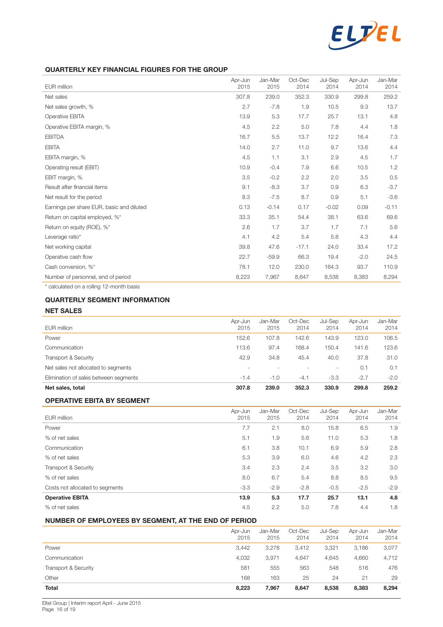

## QUARTERLY KEY FINANCIAL FIGURES FOR THE GROUP

| EUR million                               | Apr-Jun<br>2015 | Jan-Mar<br>2015 | Oct-Dec<br>2014 | Jul-Sep<br>2014 | Apr-Jun<br>2014 | Jan-Mar<br>2014 |
|-------------------------------------------|-----------------|-----------------|-----------------|-----------------|-----------------|-----------------|
| Net sales                                 | 307.8           | 239.0           | 352.3           | 330.9           | 299.8           | 259.2           |
| Net sales growth, %                       | 2.7             | $-7.8$          | 1.9             | 10.5            | 9.3             | 13.7            |
| Operative EBITA                           | 13.9            | 5.3             | 17.7            | 25.7            | 13.1            | 4.8             |
| Operative EBITA margin, %                 | 4.5             | 2.2             | 5.0             | 7.8             | 4.4             | 1.8             |
| <b>EBITDA</b>                             | 16.7            | 5.5             | 13.7            | 12.2            | 16.4            | 7.3             |
| <b>EBITA</b>                              | 14.0            | 2.7             | 11.0            | 9.7             | 13.6            | 4.4             |
| EBITA margin, %                           | 4.5             | 1.1             | 3.1             | 2.9             | 4.5             | 1.7             |
| Operating result (EBIT)                   | 10.9            | $-0.4$          | 7.9             | 6.6             | 10.5            | 1.2             |
| EBIT margin, %                            | 3.5             | $-0.2$          | 2.2             | 2.0             | 3.5             | 0.5             |
| Result after financial items              | 9.1             | $-8.3$          | 3.7             | 0.9             | 6.3             | $-3.7$          |
| Net result for the period                 | 8.3             | $-7.5$          | 8.7             | 0.9             | 5.1             | $-3.6$          |
| Earnings per share EUR, basic and diluted | 0.13            | $-0.14$         | 0.17            | $-0.02$         | 0.09            | $-0.11$         |
| Return on capital employed, %*            | 33.3            | 35.1            | 54.4            | 38.1            | 63.6            | 69.6            |
| Return on equity (ROE), %*                | 2.6             | 1.7             | 3.7             | 1.7             | 7.1             | 5.6             |
| Leverage ratio*                           | 4.1             | 4.2             | 5.4             | 5.8             | 4.3             | 4.4             |
| Net working capital                       | 39.8            | 47.6            | $-17.1$         | 24.0            | 33.4            | 17.2            |
| Operative cash flow                       | 22.7            | $-59.9$         | 66.3            | 19.4            | $-2.0$          | 24.5            |
| Cash conversion, %*                       | 78.1            | 12.0            | 230.0           | 164.3           | 93.7            | 110.9           |
| Number of personnel, end of period        | 8,223           | 7,967           | 8,647           | 8,538           | 8,383           | 8,294           |

\* calculated on a rolling 12-month basis

# QUARTERLY SEGMENT INFORMATION

## NET SALES

|                                       | Apr-Jun | Jan-Mar | Oct-Dec | Jul-Sep                  | Apr-Jun | Jan-Mar |
|---------------------------------------|---------|---------|---------|--------------------------|---------|---------|
| EUR million                           | 2015    | 2015    | 2014    | 2014                     | 2014    | 2014    |
| Power                                 | 152.6   | 107.8   | 142.6   | 143.9                    | 123.0   | 106.5   |
| Communication                         | 113.6   | 97.4    | 168.4   | 150.4                    | 141.6   | 123.6   |
| Transport & Security                  | 42.9    | 34.8    | 45.4    | 40.0                     | 37.8    | 31.0    |
| Net sales not allocated to segments   | ۰       |         |         | $\overline{\phantom{a}}$ | 0.7     | 0.1     |
| Elimination of sales between segments | $-1.4$  | $-1.0$  | $-4.1$  | -3.3                     | $-2.7$  | $-2.0$  |
| Net sales, total                      | 307.8   | 239.0   | 352.3   | 330.9                    | 299.8   | 259.2   |

## OPERATIVE EBITA BY SEGMENT

| EUR million                     | Apr-Jun<br>2015 | Jan-Mar<br>2015 | Oct-Dec<br>2014 | Jul-Sep<br>2014 | Apr-Jun<br>2014 | Jan-Mar<br>2014 |
|---------------------------------|-----------------|-----------------|-----------------|-----------------|-----------------|-----------------|
| Power                           | 7.7             | 2.1             | 8.0             | 15.8            | 6.5             | 1.9             |
| % of net sales                  | 5.1             | 1.9             | 5.6             | 11.0            | 5.3             | 1.8             |
| Communication                   | 6.1             | 3.8             | 10.1            | 6.9             | 5.9             | 2.8             |
| % of net sales                  | 5.3             | 3.9             | 6.0             | 4.6             | 4.2             | 2.3             |
| Transport & Security            | 3.4             | 2.3             | 2.4             | 3.5             | 3.2             | 3.0             |
| % of net sales                  | 8.0             | 6.7             | 5.4             | 8.8             | 8.5             | 9.5             |
| Costs not allocated to segments | $-3.3$          | $-2.9$          | $-2.8$          | $-0.5$          | $-2.5$          | $-2.9$          |
| <b>Operative EBITA</b>          | 13.9            | 5.3             | 17.7            | 25.7            | 13.1            | 4.8             |
| % of net sales                  | 4.5             | 2.2             | 5.0             | 7.8             | 4.4             | 1.8             |

#### NUMBER OF EMPLOYEES BY SEGMENT, AT THE END OF PERIOD

|                      | Apr-Jun<br>2015 | Jan-Mar<br>2015 | Oct-Dec<br>2014 | Jul-Sep<br>2014 | Apr-Jun<br>2014 | Jan-Mar<br>2014 |
|----------------------|-----------------|-----------------|-----------------|-----------------|-----------------|-----------------|
| Power                | 3.442           | 3,278           | 3,412           | 3,321           | 3,186           | 3,077           |
| Communication        | 4,032           | 3.971           | 4,647           | 4.645           | 4,660           | 4,712           |
| Transport & Security | 581             | 555             | 563             | 548             | 516             | 476             |
| Other                | 168             | 163             | 25              | 24              | 21              | 29              |
| <b>Total</b>         | 8,223           | 7,967           | 8.647           | 8,538           | 8,383           | 8,294           |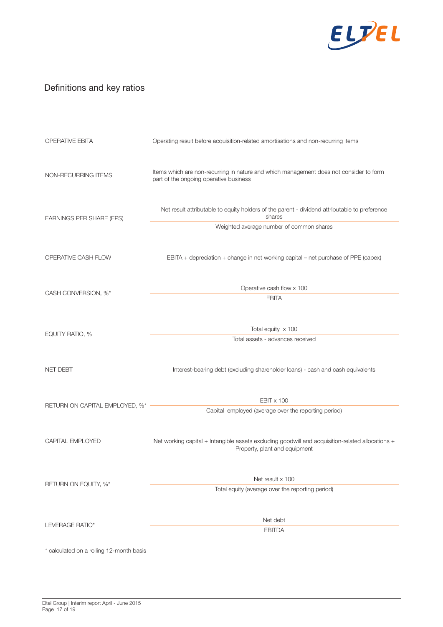

# Definitions and key ratios

| <b>OPERATIVE EBITA</b>                   | Operating result before acquisition-related amortisations and non-recurring items                                                                   |  |  |
|------------------------------------------|-----------------------------------------------------------------------------------------------------------------------------------------------------|--|--|
| NON-RECURRING ITEMS                      | Items which are non-recurring in nature and which management does not consider to form<br>part of the ongoing operative business                    |  |  |
| EARNINGS PER SHARE (EPS)                 | Net result attributable to equity holders of the parent - dividend attributable to preference<br>shares<br>Weighted average number of common shares |  |  |
| OPERATIVE CASH FLOW                      | EBITA + depreciation + change in net working capital – net purchase of PPE (capex)                                                                  |  |  |
| CASH CONVERSION, %*                      | Operative cash flow x 100<br><b>EBITA</b>                                                                                                           |  |  |
| EQUITY RATIO, %                          | Total equity x 100<br>Total assets - advances received                                                                                              |  |  |
| <b>NET DEBT</b>                          | Interest-bearing debt (excluding shareholder loans) - cash and cash equivalents                                                                     |  |  |
| RETURN ON CAPITAL EMPLOYED, %*           | $EBIT \times 100$<br>Capital employed (average over the reporting period)                                                                           |  |  |
| CAPITAL EMPLOYED                         | Net working capital + Intangible assets excluding goodwill and acquisition-related allocations +<br>Property, plant and equipment                   |  |  |
| RETURN ON EQUITY, %*                     | Net result x 100<br>Total equity (average over the reporting period)                                                                                |  |  |
| LEVERAGE RATIO*                          | Net debt<br><b>EBITDA</b>                                                                                                                           |  |  |
| * calculated on a rolling 12-month basis |                                                                                                                                                     |  |  |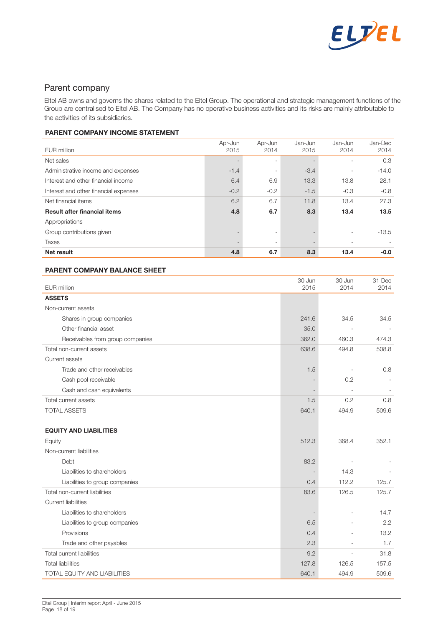

# Parent company

Eltel AB owns and governs the shares related to the Eltel Group. The operational and strategic management functions of the Group are centralised to Eltel AB. The Company has no operative business activities and its risks are mainly attributable to the activities of its subsidiaries.

## PARENT COMPANY INCOME STATEMENT

| EUR million                           | Apr-Jun<br>2015 | Apr-Jun<br>2014 | Jan-Jun<br>2015 | Jan-Jun<br>2014          | Jan-Dec<br>2014 |
|---------------------------------------|-----------------|-----------------|-----------------|--------------------------|-----------------|
| Net sales                             |                 | ٠               |                 |                          | 0.3             |
| Administrative income and expenses    | $-1.4$          | ٠               | $-3.4$          |                          | $-14.0$         |
| Interest and other financial income   | 6.4             | 6.9             | 13.3            | 13.8                     | 28.1            |
| Interest and other financial expenses | $-0.2$          | $-0.2$          | $-1.5$          | $-0.3$                   | $-0.8$          |
| Net financial items                   | 6.2             | 6.7             | 11.8            | 13.4                     | 27.3            |
| <b>Result after financial items</b>   | 4.8             | 6.7             | 8.3             | 13.4                     | 13.5            |
| Appropriations                        |                 |                 |                 |                          |                 |
| Group contributions given             |                 | ٠               |                 | $\overline{\phantom{a}}$ | $-13.5$         |
| Taxes                                 |                 | ۰               |                 |                          |                 |
| Net result                            | 4.8             | 6.7             | 8.3             | 13.4                     | $-0.0$          |

## PARENT COMPANY BALANCE SHEET

| EUR million                      | 30 Jun<br>2015 | 30 Jun<br>2014 | 31 Dec<br>2014 |
|----------------------------------|----------------|----------------|----------------|
| <b>ASSETS</b>                    |                |                |                |
| Non-current assets               |                |                |                |
| Shares in group companies        | 241.6          | 34.5           | 34.5           |
| Other financial asset            | 35.0           |                |                |
| Receivables from group companies | 362.0          | 460.3          | 474.3          |
| Total non-current assets         | 638.6          | 494.8          | 508.8          |
| Current assets                   |                |                |                |
| Trade and other receivables      | 1.5            |                | 0.8            |
| Cash pool receivable             |                | 0.2            |                |
| Cash and cash equivalents        |                |                |                |
| Total current assets             | 1.5            | 0.2            | 0.8            |
| <b>TOTAL ASSETS</b>              | 640.1          | 494.9          | 509.6          |
|                                  |                |                |                |
| <b>EQUITY AND LIABILITIES</b>    |                |                |                |
| Equity                           | 512.3          | 368.4          | 352.1          |
| Non-current liabilities          |                |                |                |
| Debt                             | 83.2           |                |                |
| Liabilities to shareholders      |                | 14.3           |                |
| Liabilities to group companies   | 0.4            | 112.2          | 125.7          |
| Total non-current liabilities    | 83.6           | 126.5          | 125.7          |
| <b>Current liabilities</b>       |                |                |                |
| Liabilities to shareholders      |                |                | 14.7           |
| Liabilities to group companies   | 6.5            |                | 2.2            |
| Provisions                       | 0.4            |                | 13.2           |
| Trade and other payables         | 2.3            |                | 1.7            |
| <b>Total current liabilities</b> | 9.2            |                | 31.8           |
| <b>Total liabilities</b>         | 127.8          | 126.5          | 157.5          |
| TOTAL EQUITY AND LIABILITIES     | 640.1          | 494.9          | 509.6          |